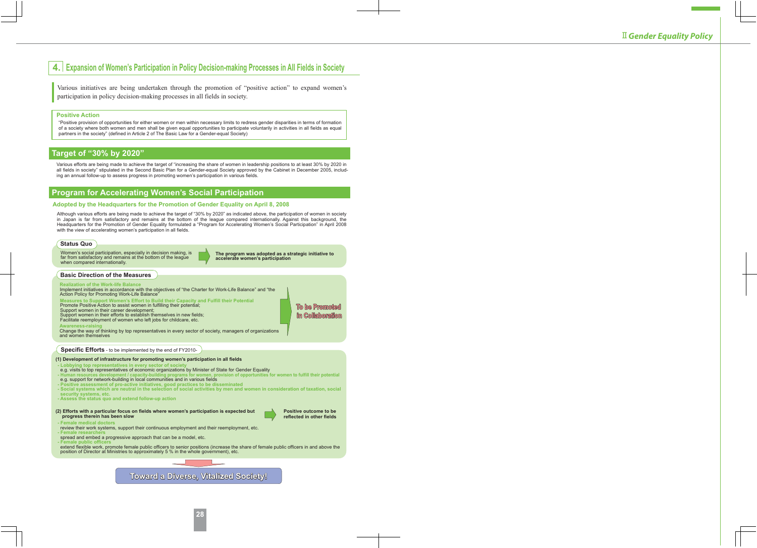# **4. Expansion of Women's Participation in Policy Decision-making Processes in All Fields in Society**

Various initiatives are being undertaken through the promotion of "positive action" to expand women's participation in policy decision-making processes in all fields in society.

#### **Positive Action**

"Positive provision of opportunities for either women or men within necessary limits to redress gender disparities in terms of formation of a society where both women and men shall be given equal opportunities to participate voluntarily in activities in all fields as equal partners in the society" (defined in Article 2 of The Basic Law for a Gender-equal Society)

### **Target of "30% by 2020"**

Various efforts are being made to achieve the target of "increasing the share of women in leadership positions to at least 30% by 2020 in all fields in society" stipulated in the Second Basic Plan for a Gender-equal Society approved by the Cabinet in December 2005, including an annual follow-up to assess progress in promoting women's participation in various fields.

### **Program for Accelerating Women's Social Participation**

#### **Adopted by the Headquarters for the Promotion of Gender Equality on April 8, 2008**

Although various efforts are being made to achieve the target of "30% by 2020" as indicated above, the participation of women in society in Japan is far from satisfactory and remains at the bottom of the league compared internationally. Against this background, the Headquarters for the Promotion of Gender Equality formulated a "Program for Accelerating Women's Social Participation" in April 2008 with the view of accelerating women's participation in all fields.

#### **Status Quo**

Women's social participation, especially in decision making, is far from satisfactory and remains at the bottom of the league when compared internationally.

**The program was adopted as a strategic initiative to accelerate women's participation**